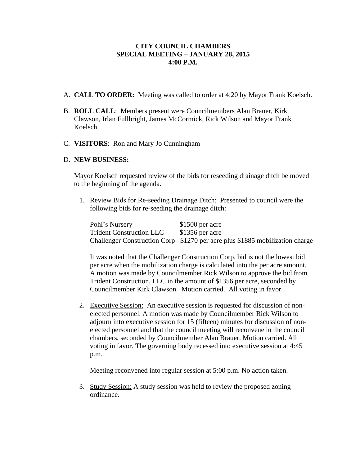## **CITY COUNCIL CHAMBERS SPECIAL MEETING – JANUARY 28, 2015 4:00 P.M.**

- A. **CALL TO ORDER:** Meeting was called to order at 4:20 by Mayor Frank Koelsch.
- B. **ROLL CALL**: Members present were Councilmembers Alan Brauer, Kirk Clawson, Irlan Fullbright, James McCormick, Rick Wilson and Mayor Frank Koelsch.
- C. **VISITORS**: Ron and Mary Jo Cunningham

## D. **NEW BUSINESS:**

Mayor Koelsch requested review of the bids for reseeding drainage ditch be moved to the beginning of the agenda.

1. Review Bids for Re-seeding Drainage Ditch: Presented to council were the following bids for re-seeding the drainage ditch:

| Pohl's Nursery                  | \$1500 per acre                                                              |
|---------------------------------|------------------------------------------------------------------------------|
| <b>Trident Construction LLC</b> | $$1356$ per acre                                                             |
|                                 | Challenger Construction Corp \$1270 per acre plus \$1885 mobilization charge |

It was noted that the Challenger Construction Corp. bid is not the lowest bid per acre when the mobilization charge is calculated into the per acre amount. A motion was made by Councilmember Rick Wilson to approve the bid from Trident Construction, LLC in the amount of \$1356 per acre, seconded by Councilmember Kirk Clawson. Motion carried. All voting in favor.

2. Executive Session: An executive session is requested for discussion of nonelected personnel. A motion was made by Councilmember Rick Wilson to adjourn into executive session for 15 (fifteen) minutes for discussion of nonelected personnel and that the council meeting will reconvene in the council chambers, seconded by Councilmember Alan Brauer. Motion carried. All voting in favor. The governing body recessed into executive session at 4:45 p.m.

Meeting reconvened into regular session at 5:00 p.m. No action taken.

3. Study Session: A study session was held to review the proposed zoning ordinance.